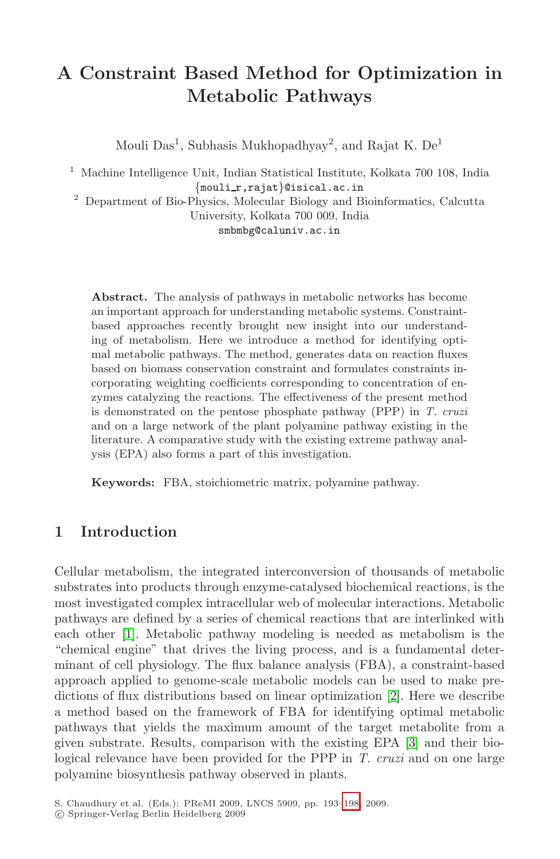# **A Constraint Based Method for Optimization in Metabolic Pathways**

Mouli  $Das<sup>1</sup>$ , Subhasis Mukhopadhyay<sup>2</sup>, and Rajat K. De<sup>1</sup>

<sup>1</sup> Machine Intelligence Unit, Indian Statistical Institute, Kolkata 700 108, India *{*mouli r,rajat*}*@isical.ac.in <sup>2</sup> Department of Bio-Physics, Molecular Biology and Bioinformatics, Calcutta

University, Kolkata 700 009, India

smbmbg@caluniv.ac.in

**Abstract.** The analysis of pathways in metabolic networks has become an important approach for understanding metabolic systems. Constraintbased approaches recently brought new insight into our understanding of metabolism. Here we introduce a method for identifying optimal metabolic pathways. The method, generates data on reaction fluxes based on biomass conservation constraint and formulates constraints incorporating weighting coefficients corresponding to concentration of enzymes catalyzing the reactions. The effectiveness of the present method is demonstrated on the pentose phosphate pathway (PPP) in *T. cruzi* and on a large network of the plant polyamine pathway existing in the literature. A comparative study with the existing extreme pathway analysis (EPA) also forms a part of this investigation.

**Keywords:** FBA, stoichiometric matrix, polyamine pathway.

# **1 Introduction**

Cellular metabolism, the integrated int[er](#page-5-0)conversion of thousands of metabolic substrates into products through enzyme-catalysed biochemical reactions, is the most investigated complex intracellular web of molecular interactions. Metabolic pathways are defined by a series of chemic[al](#page-5-1) reactions that are interlinked with each other [1]. Metabolic pathway modeling is needed as metabolism is the "chemical engine" that drives the living process, and is a fundamental determinant of cell physiology. The flux balance analysis (FBA), a constraint-based approach applied to genome-sc[ale](#page-5-2) metabolic models can be used to make predictions of flux distributions based on linear optimization [2]. Here we describe a method based on the framework of FBA for identifying optimal metabolic pathways that yields the maximum amount of the target metabolite from a given substrate. Results, comparison with the existing EPA [3] and their biological relevance have been provided for the PPP in *T. cruzi* and on one large polyamine biosynthesis pathway observed in plants.

S. Chaudhury et al. (Eds.): PReMI 2009, LNCS 5909, pp. 193–198, 2009.

<sup>-</sup>c Springer-Verlag Berlin Heidelberg 2009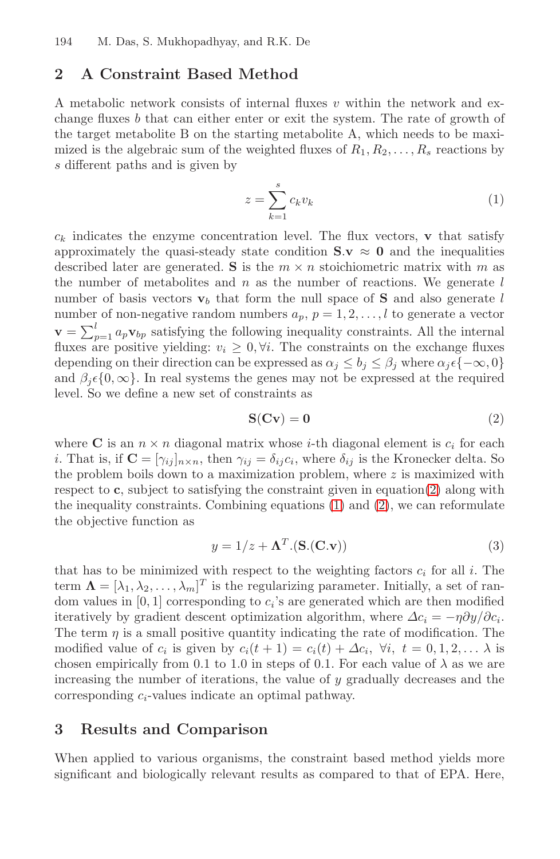194 M. Das, S. Mukhopadhyay, and R.K. De

# <span id="page-1-1"></span>**2 A Constraint Based Method**

A metabolic network consists of internal fluxes  $v$  within the network and exchange fluxes b that can either enter or exit the system. The rate of growth of the target metabolite B on the starting metabolite A, which needs to be maximized is the algebraic sum of the weighted fluxes of  $R_1, R_2, \ldots, R_s$  reactions by s different paths and is given by

$$
z = \sum_{k=1}^{s} c_k v_k \tag{1}
$$

<span id="page-1-0"></span> $c_k$  indicates the enzyme concentration level. The flux vectors, **v** that satisfy approximately the quasi-steady state condition  $S \mathbf{v} \approx 0$  and the inequalities described later are generated. **S** is the  $m \times n$  stoichiometric matrix with m as the number of metabolites and  $n$  as the number of reactions. We generate  $l$ number of basis vectors  $\mathbf{v}_b$  that form the null space of **S** and also generate l number of non-negative random numbers  $a_p$ ,  $p = 1, 2, \ldots, l$  to generate a vector  $\mathbf{v} = \sum_{p=1}^{l} a_p \mathbf{v}_{bp}$  satisfying the following inequality constraints. All the internal fluxes are positive yielding:  $v_i \geq 0, \forall i$ . The constraints on the exchange fluxes depending on their direction can be expressed as  $\alpha_j \leq b_j \leq \beta_j$  where  $\alpha_j \in \{-\infty, 0\}$ and  $\beta_i \in \{0, \infty\}$ . In real syste[ms](#page-1-1) the ge[ne](#page-1-0)s may [no](#page-1-0)t be expressed at the required level. So we define a new set of constraints as

$$
S(Cv) = 0 \tag{2}
$$

where **C** is an  $n \times n$  diagonal matrix whose *i*-th diagonal element is  $c_i$  for each *i*. That is, if  $\mathbf{C} = [\gamma_{ij}]_{n \times n}$ , then  $\gamma_{ij} = \delta_{ij} c_i$ , where  $\delta_{ij}$  is the Kronecker delta. So the problem boils down to a maximization problem, where  $z$  is maximized with respect to **c**, subject to satisfying the constraint given in equation(2) along with the inequality constraints. Combining equations (1) and (2), we can reformulate the objective function as

$$
y = 1/z + \mathbf{\Lambda}^T .(\mathbf{S} . (\mathbf{C} . \mathbf{v}))
$$
\n(3)

that has to be minimized with respect to the weighting factors  $c_i$  for all  $i$ . The term  $\mathbf{\Lambda} = [\lambda_1, \lambda_2, \dots, \lambda_m]^T$  is the regularizing parameter. Initially, a set of random values in  $[0, 1]$  corresponding to  $c_i$ 's are generated which are then modified iteratively by gradient descent optimization algorithm, where  $\Delta c_i = -\eta \partial y / \partial c_i$ . The term  $\eta$  is a small positive quantity indicating the rate of modification. The modified value of  $c_i$  is given by  $c_i(t + 1) = c_i(t) + \Delta c_i$ ,  $\forall i, t = 0, 1, 2, \ldots \lambda$  is chosen empirically from 0.1 to 1.0 in steps of 0.1. For each value of  $\lambda$  as we are increasing the number of iterations, the value of y gradually decreases and the corresponding c*i*-values indicate an optimal pathway.

#### **3 Results and Comparison**

When applied to various organisms, the constraint based method yields more significant and biologically relevant results as compared to that of EPA. Here,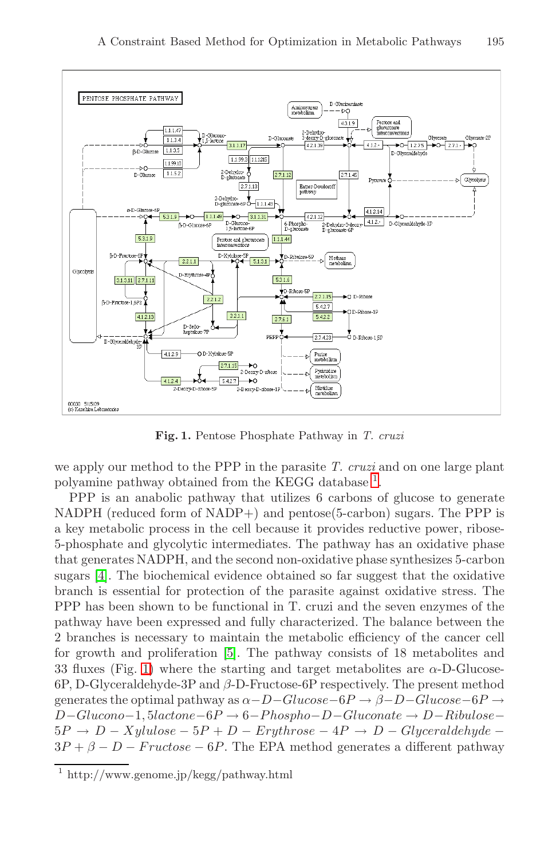

**Fig. 1.** Pentose Phosphate Pathway in *T. cruzi*

we apply our method to the PPP in the parasite *T. cruzi* and on one large plant polyamine pathway obtained from the KEGG database <sup>1</sup>.

PPP is an anabolic pathway that utilizes 6 carbons of glucose to generate NADPH (reduced form of NADP+) and pentose(5-carbon) sugars. The PPP is a key meta[bo](#page-5-3)lic process in the cell because it provides reductive power, ribose-5-phosphate and glycolytic intermediates. The pathway has an oxidative phase that generates NADPH, and the second non-oxidative phase synthesizes 5-carbon sugars [4]. The biochemical evidence obtained so far suggest that the oxidative branch is essential for protection of the parasite against oxidative stress. The PPP has been shown to be functional in T. cruzi and the seven enzymes of the pathway have been expressed and fully characterized. The balance between the 2 branches is necessary to maintain the metabolic efficiency of the cancer cell for growth and proliferation [5]. The pathway consists of 18 metabolites and 33 fluxes (Fig. 1) where the starting and target metabolites are  $\alpha$ -D-Glucose-6P, D-Glyceraldehyde-3P and β-D-Fructose-6P respectively. The present method generates the optimal pathway as  $\alpha-D-Glucos\theta$  →  $\beta-D-Glucos\theta$  →  $D-Glucono-1, 5lactone-6P \rightarrow 6-Phospho-D-Gluconate \rightarrow D-Ribulose 5P \rightarrow D - Xylulose - 5P + D - Erythrose - 4P \rightarrow D - Glyceraldehyde 3P + \beta - D - Fructose - 6P$ . The EPA method generates a different pathway

<sup>1</sup> http://www.genome.jp/kegg/pathway.html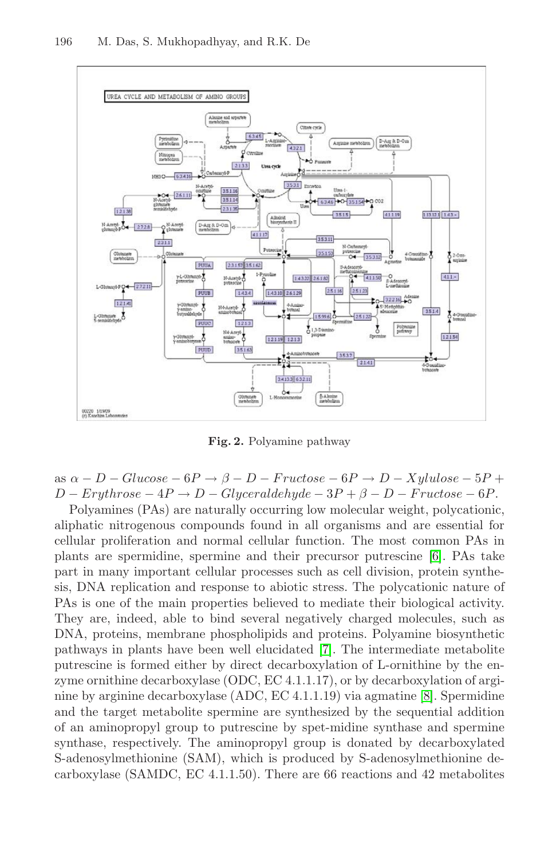

<span id="page-3-0"></span>**Fig. 2.** Polyamine pa[thw](#page-5-4)ay

as  $\alpha - D - Glucose - 6P \rightarrow \beta - D - Fructose - 6P \rightarrow D - Xyllulose - 5P +$  $D - Erythrose - 4P \rightarrow D - Glyceraldehyde - 3P + \beta - D - Fructose - 6P.$ 

Polyamines (PAs) are naturally occurring low molecular weight, polycationic, aliphatic nitrogenous comp[ou](#page-5-5)nds found in all organisms and are essential for cellular proliferation and normal cellular function. The most common PAs in plants are spermidine, spermine and their precursor putrescine [6]. PAs take part in many important cellular processes su[ch](#page-5-6) as cell division, protein synthesis, DNA replication and response to abiotic stress. The polycationic nature of PAs is one of the main properties believed to mediate their biological activity. They are, indeed, able to bind several negatively charged molecules, such as DNA, proteins, membrane phospholipids and proteins. Polyamine biosynthetic pathways in plants have been well elucidated [7]. The intermediate metabolite putrescine is formed either by direct decarboxylation of L-ornithine by the enzyme ornithine decarboxylase (ODC, EC 4.1.1.17), or by decarboxylation of arginine by arginine decarboxylase (ADC, EC 4.1.1.19) via agmatine [8]. Spermidine and the target metabolite spermine are synthesized by the sequential addition of an aminopropyl group to putrescine by spet-midine synthase and spermine synthase, respectively. The aminopropyl group is donated by decarboxylated S-adenosylmethionine (SAM), which is produced by S-adenosylmethionine decarboxylase (SAMDC, EC 4.1.1.50). There are 66 reactions and 42 metabolites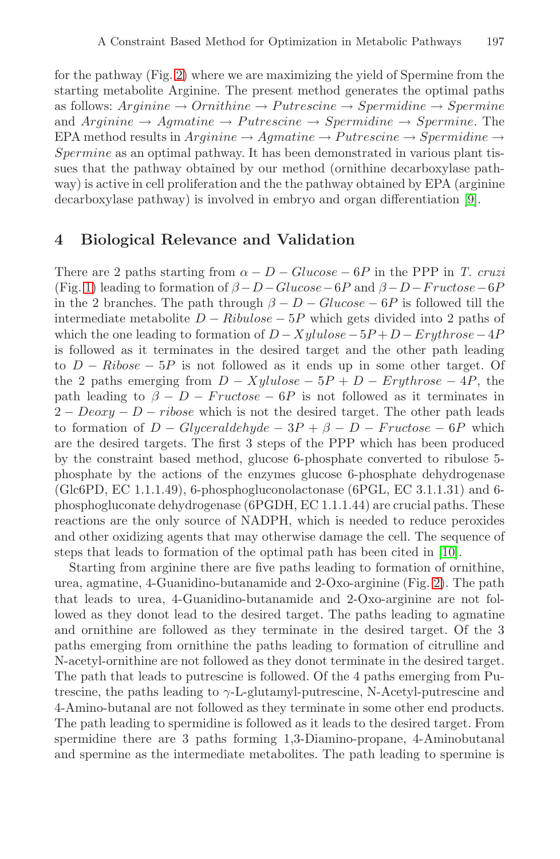for the pathway (Fig. 2) where we are maximizing the [yie](#page-5-7)ld of Spermine from the starting metabolite Arginine. The present method generates the optimal paths as follows:  $Arginine \rightarrow Ornithmetic \rightarrow Petrescine \rightarrow Spermine \rightarrow Spermine$ and  $Arginine \rightarrow Agmatine \rightarrow Putrescine \rightarrow Spermidine \rightarrow Spermine$ . The EPA method results in  $Arginine \rightarrow Agmatine \rightarrow Putrescine \rightarrow Spermidine \rightarrow$ Spermine as an optimal pathway. It has been demonstrated in various plant tissues that the pathway obtained by our method (ornithine decarboxylase pathway) is active in cell proliferation and the the pathway obtained by EPA (arginine decarboxylase pathway) is involved in embryo and organ differentiation [9].

## **4 Biological Relevance and Validation**

There are 2 paths starting from  $\alpha - D - Glucose - 6P$  in the PPP in *T. cruzi* (Fig. 1) leading to formation of  $\beta - D - Glucose - 6P$  and  $\beta - D - Fructose - 6P$ in the 2 branches. The path through  $\beta - D - Glucose - 6P$  is followed till the intermediate metabolite  $D - Ribulose - 5P$  which gets divided into 2 paths of which the one leading to formation of  $D - Xylulose - 5P + D - Eryth rose - 4P$ is followed as it terminates in the desired target and the other path leading to  $D - Ribose - 5P$  is not followed as it ends up in some other target. Of the 2 paths emerging from  $D - Xylulose - 5P + D - Eryth rose - 4P$ , the path leading to  $\beta - D - Fructose - 6P$  is not followed as it terminates in  $2 - Deoxy - D - ribose$  which is not the desired target. The other path leads to formation of  $D - Glyceraldehyde - 3P + \beta - D - Fructose - 6P$  which are the desired targets. The first 3 steps of the PPP which has been produced by the constraint based method, glucose 6-ph[osp](#page-3-0)hate converted to ribulose 5 phosphate by the actions of the enzymes glucose 6-phosphate dehydrogenase (Glc6PD, EC 1.1.1.49), 6-phosphogluconolactonase (6PGL, EC 3.1.1.31) and 6phosphogluconate dehydrogenase (6PGDH, EC 1.1.1.44) are crucial paths. These reactions are the only source of NADPH, which is needed to reduce peroxides and other oxidizing agents that may otherwise damage the cell. The sequence of steps that leads to formation of the optimal path has been cited in [10].

Starting from arginine there are five paths leading to formation of ornithine, urea, agmatine, 4-Guanidino-butanamide and 2-Oxo-arginine (Fig. 2). The path that leads to urea, 4-Guanidino-butanamide and 2-Oxo-arginine are not followed as they donot lead to the desired target. The paths leading to agmatine and ornithine are followed as they terminate in the desired target. Of the 3 paths emerging from ornithine the paths leading to formation of citrulline and N-acetyl-ornithine are not followed as they donot terminate in the desired target. The path that leads to putrescine is followed. Of the 4 paths emerging from Putrescine, the paths leading to  $\gamma$ -L-glutamyl-putrescine, N-Acetyl-putrescine and 4-Amino-butanal are not followed as they terminate in some other end products. The path leading to spermidine is followed as it leads to the desired target. From spermidine there are 3 paths forming 1,3-Diamino-propane, 4-Aminobutanal and spermine as the intermediate metabolites. The path leading to spermine is